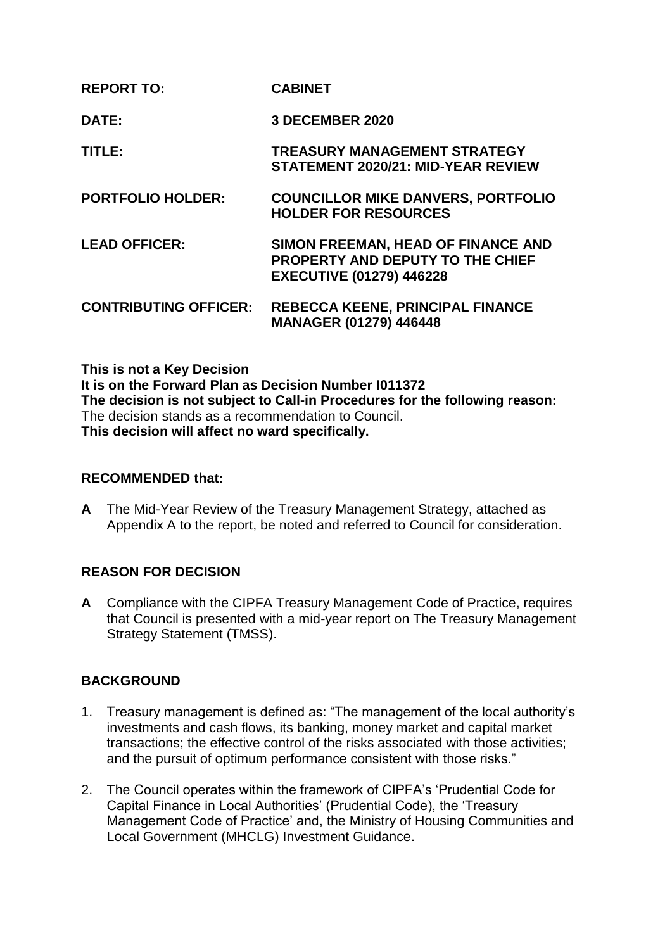| <b>REPORT TO:</b>            | <b>CABINET</b>                                                                                                   |
|------------------------------|------------------------------------------------------------------------------------------------------------------|
| DATE:                        | <b>3 DECEMBER 2020</b>                                                                                           |
| TITLE:                       | <b>TREASURY MANAGEMENT STRATEGY</b><br><b>STATEMENT 2020/21: MID-YEAR REVIEW</b>                                 |
| <b>PORTFOLIO HOLDER:</b>     | <b>COUNCILLOR MIKE DANVERS, PORTFOLIO</b><br><b>HOLDER FOR RESOURCES</b>                                         |
| <b>LEAD OFFICER:</b>         | SIMON FREEMAN, HEAD OF FINANCE AND<br><b>PROPERTY AND DEPUTY TO THE CHIEF</b><br><b>EXECUTIVE (01279) 446228</b> |
| <b>CONTRIBUTING OFFICER:</b> | <b>REBECCA KEENE, PRINCIPAL FINANCE</b><br>MANAGER (01279) 446448                                                |

**This is not a Key Decision It is on the Forward Plan as Decision Number I011372 The decision is not subject to Call-in Procedures for the following reason:** The decision stands as a recommendation to Council. **This decision will affect no ward specifically.**

## **RECOMMENDED that:**

**A** The Mid-Year Review of the Treasury Management Strategy, attached as Appendix A to the report, be noted and referred to Council for consideration.

## **REASON FOR DECISION**

**A** Compliance with the CIPFA Treasury Management Code of Practice, requires that Council is presented with a mid-year report on The Treasury Management Strategy Statement (TMSS).

## **BACKGROUND**

- 1. Treasury management is defined as: "The management of the local authority's investments and cash flows, its banking, money market and capital market transactions; the effective control of the risks associated with those activities; and the pursuit of optimum performance consistent with those risks."
- 2. The Council operates within the framework of CIPFA's 'Prudential Code for Capital Finance in Local Authorities' (Prudential Code), the 'Treasury Management Code of Practice' and, the Ministry of Housing Communities and Local Government (MHCLG) Investment Guidance.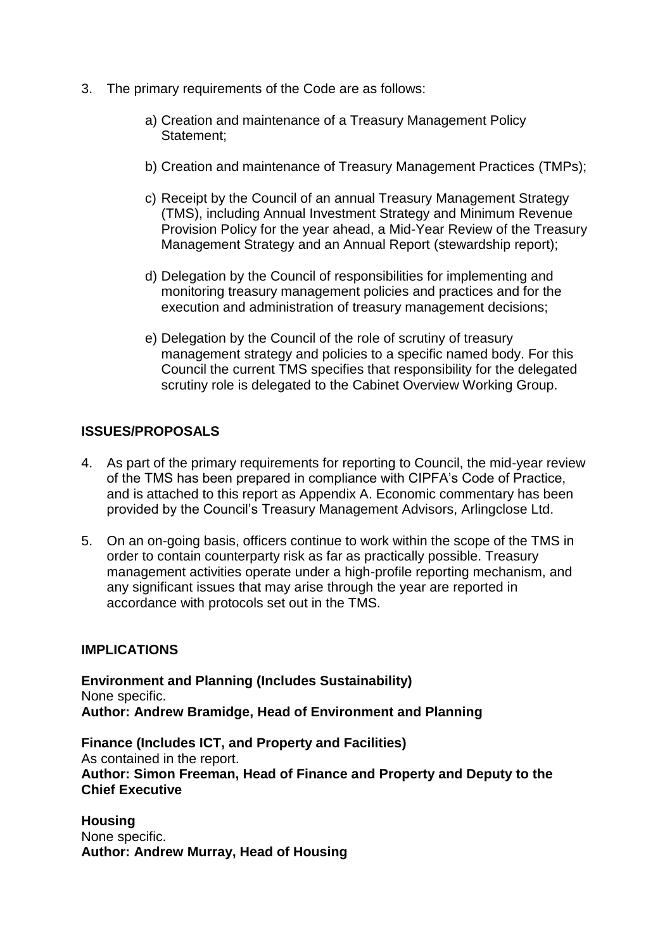- 3. The primary requirements of the Code are as follows:
	- a) Creation and maintenance of a Treasury Management Policy Statement;
	- b) Creation and maintenance of Treasury Management Practices (TMPs);
	- c) Receipt by the Council of an annual Treasury Management Strategy (TMS), including Annual Investment Strategy and Minimum Revenue Provision Policy for the year ahead, a Mid-Year Review of the Treasury Management Strategy and an Annual Report (stewardship report);
	- d) Delegation by the Council of responsibilities for implementing and monitoring treasury management policies and practices and for the execution and administration of treasury management decisions;
	- e) Delegation by the Council of the role of scrutiny of treasury management strategy and policies to a specific named body. For this Council the current TMS specifies that responsibility for the delegated scrutiny role is delegated to the Cabinet Overview Working Group.

## **ISSUES/PROPOSALS**

- 4. As part of the primary requirements for reporting to Council, the mid-year review of the TMS has been prepared in compliance with CIPFA's Code of Practice, and is attached to this report as Appendix A. Economic commentary has been provided by the Council's Treasury Management Advisors, Arlingclose Ltd.
- 5. On an on-going basis, officers continue to work within the scope of the TMS in order to contain counterparty risk as far as practically possible. Treasury management activities operate under a high-profile reporting mechanism, and any significant issues that may arise through the year are reported in accordance with protocols set out in the TMS.

## **IMPLICATIONS**

**Environment and Planning (Includes Sustainability)** None specific. **Author: Andrew Bramidge, Head of Environment and Planning** 

**Finance (Includes ICT, and Property and Facilities)** As contained in the report. **Author: Simon Freeman, Head of Finance and Property and Deputy to the Chief Executive**

**Housing** None specific. **Author: Andrew Murray, Head of Housing**